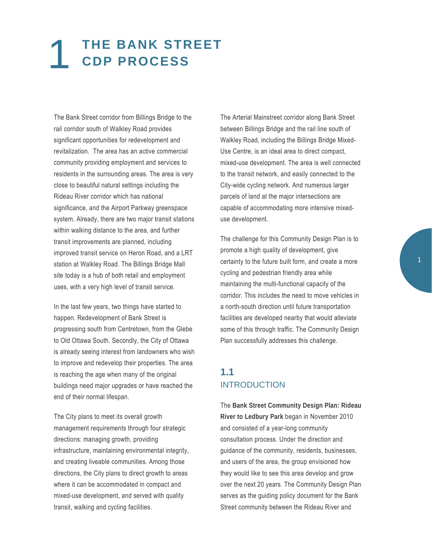# 1 **THE BANK STREET CDP PROCESS**

 The Bank Street corridor from Billings Bridge to the rail corridor south of Walkley Road provides significant opportunities for redevelopment and revitalization. The area has an active commercial community providing employment and services to residents in the surrounding areas. The area is very close to beautiful natural settings including the Rideau River corridor which has national significance, and the Airport Parkway greenspace system. Already, there are two major transit stations within walking distance to the area, and further transit improvements are planned, including improved transit service on Heron Road, and a LRT station at Walkley Road. The Billings Bridge Mall site today is a hub of both retail and employment uses, with a very high level of transit service.

In the last few years, two things have started to happen. Redevelopment of Bank Street is progressing south from Centretown, from the Glebe to Old Ottawa South. Secondly, the City of Ottawa is already seeing interest from landowners who wish to improve and redevelop their properties. The area is reaching the age when many of the original buildings need major upgrades or have reached the end of their normal lifespan.

 transit, walking and cycling facilities. The City plans to meet its overall growth management requirements through four strategic directions: managing growth, providing infrastructure, maintaining environmental integrity, and creating liveable communities. Among those directions, the City plans to direct growth to areas where it can be accommodated in compact and mixed-use development, and served with quality

The Arterial Mainstreet corridor along Bank Street between Billings Bridge and the rail line south of Walkley Road, including the Billings Bridge Mixed-Use Centre, is an ideal area to direct compact, mixed-use development. The area is well connected to the transit network, and easily connected to the City-wide cycling network. And numerous larger parcels of land at the major intersections are capable of accommodating more intensive mixeduse development.

 The challenge for this Community Design Plan is to corridor. This includes the need to move vehicles in Plan successfully addresses this challenge. promote a high quality of development, give certainty to the future built form, and create a more cycling and pedestrian friendly area while maintaining the multi-functional capacity of the a north-south direction until future transportation facilities are developed nearby that would alleviate some of this through traffic. The Community Design

# **1.1**  INTRODUCTION

The **Bank Street Community Design Plan: Rideau River to Ledbury Park** began in November 2010 and consisted of a year-long community consultation process. Under the direction and guidance of the community, residents, businesses, and users of the area, the group envisioned how they would like to see this area develop and grow over the next 20 years. The Community Design Plan serves as the guiding policy document for the Bank Street community between the Rideau River and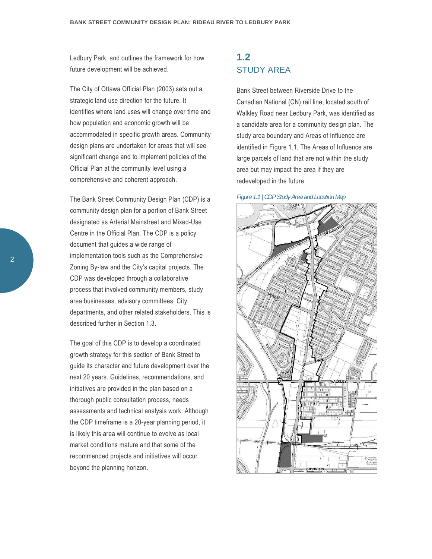Ledbury Park, and outlines the framework for how future development will be achieved.

 strategic land use direction for the future. It significant change and to implement policies of the The City of Ottawa Official Plan (2003) sets out a identifies where land uses will change over time and how population and economic growth will be accommodated in specific growth areas. Community design plans are undertaken for areas that will see Official Plan at the community level using a comprehensive and coherent approach.

 community design plan for a portion of Bank Street The Bank Street Community Design Plan (CDP) is a designated as Arterial Mainstreet and Mixed-Use Centre in the Official Plan. The CDP is a policy document that guides a wide range of implementation tools such as the Comprehensive Zoning By-law and the City's capital projects. The CDP was developed through a collaborative process that involved community members, study area businesses, advisory committees, City departments, and other related stakeholders. This is described further in Section 1.3.

 guide its character and future development over the is likely this area will continue to evolve as local The goal of this CDP is to develop a coordinated growth strategy for this section of Bank Street to next 20 years. Guidelines, recommendations, and initiatives are provided in the plan based on a thorough public consultation process, needs assessments and technical analysis work. Although the CDP timeframe is a 20-year planning period, it market conditions mature and that some of the recommended projects and initiatives will occur beyond the planning horizon.

## **1.2**  STUDY AREA

 large parcels of land that are not within the study Bank Street between Riverside Drive to the Canadian National (CN) rail line, located south of Walkley Road near Ledbury Park, was identified as a candidate area for a community design plan. The study area boundary and Areas of Influence are identified in Figure 1.1. The Areas of Influence are area but may impact the area if they are redeveloped in the future.



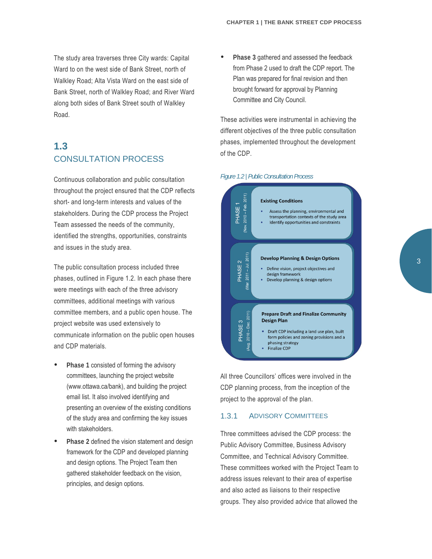The study area traverses three City wards: Capital Ward to on the west side of Bank Street, north of Walkley Road; Alta Vista Ward on the east side of along both sides of Bank Street south of Walkley Bank Street, north of Walkley Road; and River Ward Road.

# **1.3**  CONSULTATION PROCESS

Continuous collaboration and public consultation throughout the project ensured that the CDP reflects short- and long-term interests and values of the stakeholders. During the CDP process the Project Team assessed the needs of the community, identified the strengths, opportunities, constraints and issues in the study area.

The public consultation process included three phases, outlined in Figure 1.2. In each phase there were meetings with each of the three advisory committees, additional meetings with various committee members, and a public open house. The project website was used extensively to communicate information on the public open houses and CDP materials.

- **Phase 1** consisted of forming the advisory committees, launching the project website (www.ottawa.ca/bank), and building the project email list. It also involved identifying and presenting an overview of the existing conditions of the study area and confirming the key issues with stakeholders.
- **Phase 2** defined the vision statement and design framework for the CDP and developed planning and design options. The Project Team then gathered stakeholder feedback on the vision, principles, and design options.

 **Phase 3** gathered and assessed the feedback from Phase 2 used to draft the CDP report. The Plan was prepared for final revision and then brought forward for approval by Planning Committee and City Council.

These activities were instrumental in achieving the different objectives of the three public consultation phases, implemented throughout the development of the CDP.

#### *Figure 1.2 | Public Consultation Process*



All three Councillors' offices were involved in the CDP planning process, from the inception of the project to the approval of the plan.

### 1.3.1 ADVISORY COMMITTEES

 address issues relevant to their area of expertise Three committees advised the CDP process: the Public Advisory Committee, Business Advisory Committee, and Technical Advisory Committee. These committees worked with the Project Team to and also acted as liaisons to their respective groups. They also provided advice that allowed the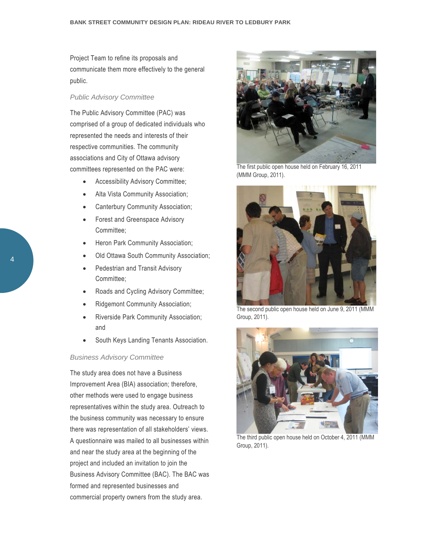Project Team to refine its proposals and communicate them more effectively to the general public.

### *Public Advisory Committee*

The Public Advisory Committee (PAC) was comprised of a group of dedicated individuals who represented the needs and interests of their respective communities. The community associations and City of Ottawa advisory committees represented on the PAC were:

- Accessibility Advisory Committee;
- Alta Vista Community Association;
- Canterbury Community Association;
- Forest and Greenspace Advisory Committee;
- Heron Park Community Association;
- Old Ottawa South Community Association;
- Pedestrian and Transit Advisory Committee;
- Roads and Cycling Advisory Committee;
- Ridgemont Community Association;
- Riverside Park Community Association; and
- **South Keys Landing Tenants Association.**

### *Business Advisory Committee*

 there was representation of all stakeholders' views. project and included an invitation to join the The study area does not have a Business Improvement Area (BIA) association; therefore, other methods were used to engage business representatives within the study area. Outreach to the business community was necessary to ensure A questionnaire was mailed to all businesses within and near the study area at the beginning of the Business Advisory Committee (BAC). The BAC was formed and represented businesses and commercial property owners from the study area.



The first public open house held on February 16, 2011 (MMM Group, 2011).



The second public open house held on June 9, 2011 (MMM Group, 2011).



The third public open house held on October 4, 2011 (MMM Group, 2011).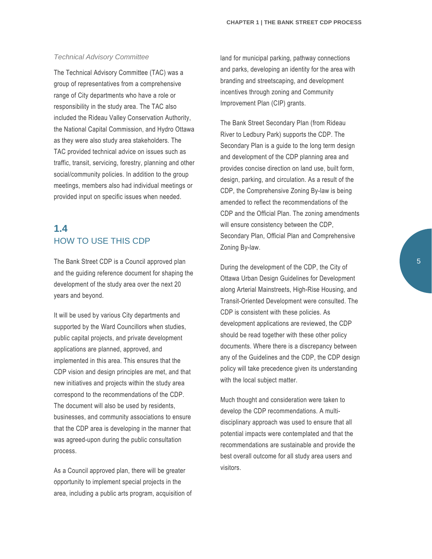### *Technical Advisory Committee*

The Technical Advisory Committee (TAC) was a group of representatives from a comprehensive range of City departments who have a role or responsibility in the study area. The TAC also included the Rideau Valley Conservation Authority, the National Capital Commission, and Hydro Ottawa as they were also study area stakeholders. The TAC provided technical advice on issues such as traffic, transit, servicing, forestry, planning and other social/community policies. In addition to the group meetings, members also had individual meetings or provided input on specific issues when needed.

# **1.4**  HOW TO USE THIS CDP

The Bank Street CDP is a Council approved plan and the guiding reference document for shaping the development of the study area over the next 20 years and beyond.

 implemented in this area. This ensures that the businesses, and community associations to ensure process. It will be used by various City departments and supported by the Ward Councillors when studies, public capital projects, and private development applications are planned, approved, and CDP vision and design principles are met, and that new initiatives and projects within the study area correspond to the recommendations of the CDP. The document will also be used by residents, that the CDP area is developing in the manner that was agreed-upon during the public consultation

As a Council approved plan, there will be greater opportunity to implement special projects in the area, including a public arts program, acquisition of Improvement Plan (CIP) grants. land for municipal parking, pathway connections and parks, developing an identity for the area with branding and streetscaping, and development incentives through zoning and Community

The Bank Street Secondary Plan (from Rideau River to Ledbury Park) supports the CDP. The Secondary Plan is a guide to the long term design and development of the CDP planning area and provides concise direction on land use, built form, design, parking, and circulation. As a result of the CDP, the Comprehensive Zoning By-law is being amended to reflect the recommendations of the CDP and the Official Plan. The zoning amendments will ensure consistency between the CDP, Secondary Plan, Official Plan and Comprehensive Zoning By-law.

 During the development of the CDP, the City of Ottawa Urban Design Guidelines for Development along Arterial Mainstreets, High-Rise Housing, and Transit-Oriented Development were consulted. The CDP is consistent with these policies. As development applications are reviewed, the CDP should be read together with these other policy documents. Where there is a discrepancy between any of the Guidelines and the CDP, the CDP design policy will take precedence given its understanding with the local subject matter.

Much thought and consideration were taken to develop the CDP recommendations. A multi disciplinary approach was used to ensure that all potential impacts were contemplated and that the recommendations are sustainable and provide the best overall outcome for all study area users and visitors.